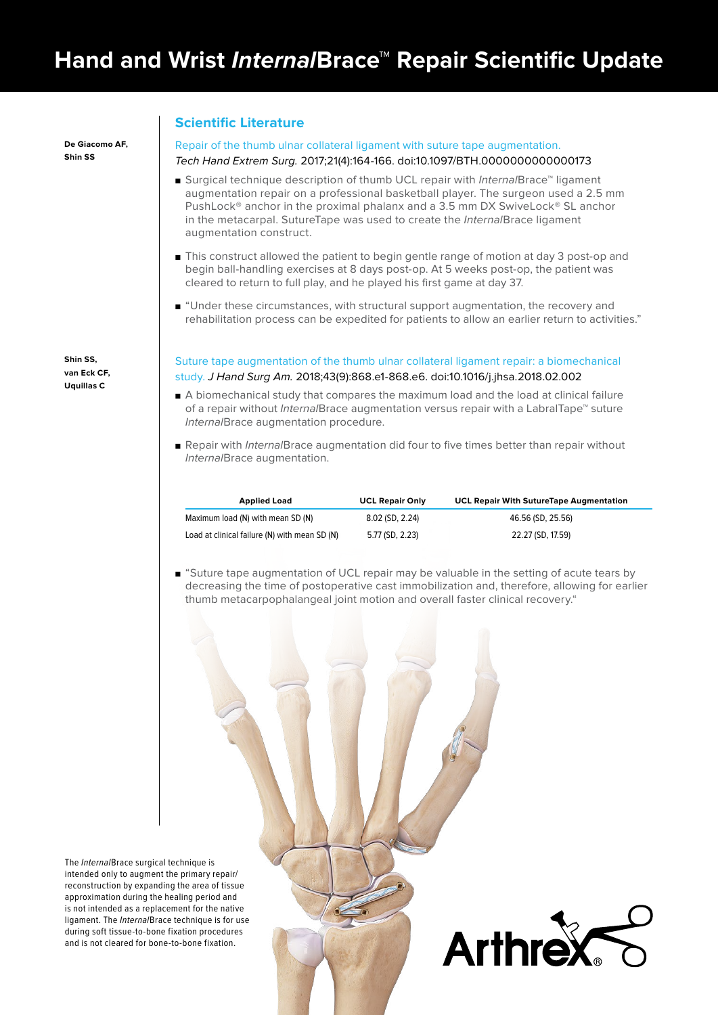## **Scientific Literature**

#### Repair of the thumb ulnar collateral ligament with suture tape augmentation.

#### Tech Hand Extrem Surg. 2017;21(4):164-166. doi:10.1097/BTH.0000000000000173

- Surgical technique description of thumb UCL repair with *Internal* Brace™ ligament augmentation repair on a professional basketball player. The surgeon used a 2.5 mm PushLock® anchor in the proximal phalanx and a 3.5 mm DX SwiveLock® SL anchor in the metacarpal. SutureTape was used to create the InternalBrace ligament augmentation construct.
- This construct allowed the patient to begin gentle range of motion at day 3 post-op and begin ball-handling exercises at 8 days post-op. At 5 weeks post-op, the patient was cleared to return to full play, and he played his first game at day 37.
- "Under these circumstances, with structural support augmentation, the recovery and rehabilitation process can be expedited for patients to allow an earlier return to activities."

Suture tape augmentation of the thumb ulnar collateral ligament repair: a biomechanical study. J Hand Surg Am. 2018;43(9):868.e1-868.e6. doi:10.1016/j.jhsa.2018.02.002

- A biomechanical study that compares the maximum load and the load at clinical failure of a repair without InternalBrace augmentation versus repair with a LabralTape™ suture InternalBrace augmentation procedure.
- Repair with InternalBrace augmentation did four to five times better than repair without InternalBrace augmentation.

| <b>Applied Load</b>                           | <b>UCL Repair Only</b> | <b>UCL Repair With SutureTape Augmentation</b> |
|-----------------------------------------------|------------------------|------------------------------------------------|
| Maximum load (N) with mean SD (N)             | 8.02 (SD, 2.24)        | 46.56 (SD, 25.56)                              |
| Load at clinical failure (N) with mean SD (N) | 5.77 (SD, 2.23)        | 22.27 (SD, 17.59)                              |

■ "Suture tape augmentation of UCL repair may be valuable in the setting of acute tears by decreasing the time of postoperative cast immobilization and, therefore, allowing for earlier thumb metacarpophalangeal joint motion and overall faster clinical recovery."

The *Internal*Brace surgical technique is intended only to augment the primary repair/ reconstruction by expanding the area of tissue approximation during the healing period and is not intended as a replacement for the native ligament. The *Internal*Brace technique is for use during soft tissue-to-bone fixation procedures and is not cleared for bone-to-bone fixation.



**Shin SS, van Eck CF, Uquillas C**

**De Giacomo AF, Shin SS**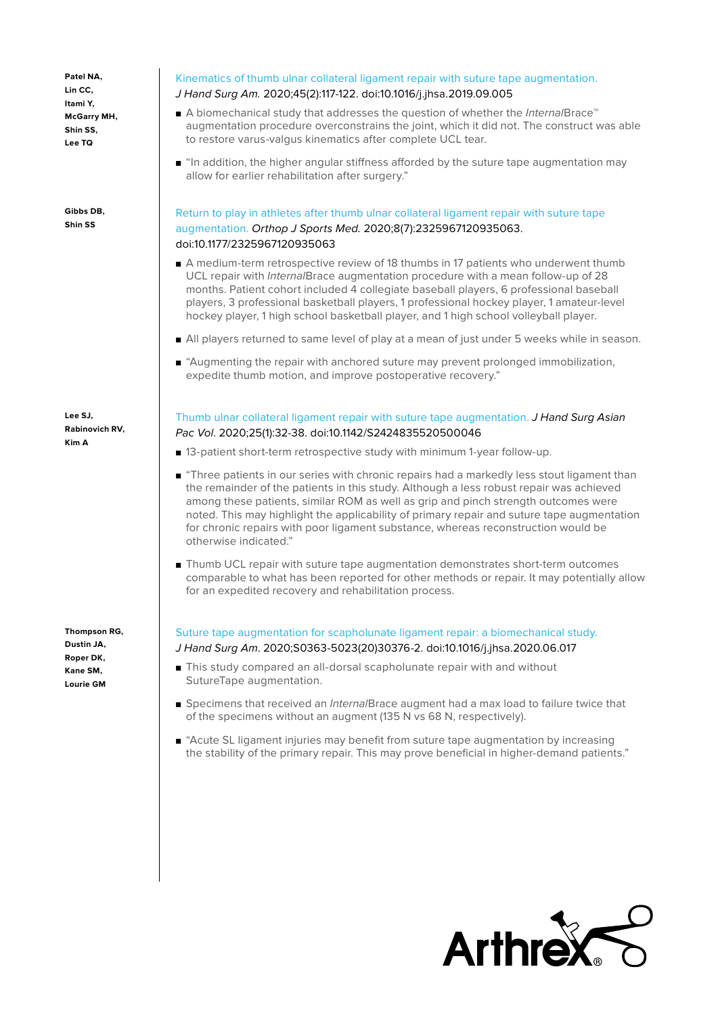**Patel NA, Lin CC, Itami Y, McGarry MH, Shin SS, Lee TQ**

**Gibbs DB, Shin SS**

**Lee SJ, Rabinovich RV, Kim A**

**Thompson RG, Dustin JA, Roper DK, Kane SM, Lourie GM**

#### Kinematics of thumb ulnar collateral ligament repair with suture tape augmentation.

#### J Hand Surg Am. 2020;45(2):117-122. doi:10.1016/j.jhsa.2019.09.005

- A biomechanical study that addresses the question of whether the Interna/Brace™ augmentation procedure overconstrains the joint, which it did not. The construct was able to restore varus-valgus kinematics after complete UCL tear.
- "In addition, the higher angular stiffness afforded by the suture tape augmentation may allow for earlier rehabilitation after surgery."

#### Return to play in athletes after thumb ulnar collateral ligament repair with suture tape augmentation. Orthop J Sports Med. 2020;8(7):2325967120935063. doi:10.1177/2325967120935063

- A medium-term retrospective review of 18 thumbs in 17 patients who underwent thumb UCL repair with *Internal*Brace augmentation procedure with a mean follow-up of 28 months. Patient cohort included 4 collegiate baseball players, 6 professional baseball players, 3 professional basketball players, 1 professional hockey player, 1 amateur-level hockey player, 1 high school basketball player, and 1 high school volleyball player.
- All players returned to same level of play at a mean of just under 5 weeks while in season.
- "Augmenting the repair with anchored suture may prevent prolonged immobilization, expedite thumb motion, and improve postoperative recovery."

#### Thumb ulnar collateral ligament repair with suture tape augmentation. J Hand Surg Asian Pac Vol. 2020;25(1):32-38. doi:10.1142/S2424835520500046

- 13-patient short-term retrospective study with minimum 1-year follow-up.
- "Three patients in our series with chronic repairs had a markedly less stout ligament than the remainder of the patients in this study. Although a less robust repair was achieved among these patients, similar ROM as well as grip and pinch strength outcomes were noted. This may highlight the applicability of primary repair and suture tape augmentation for chronic repairs with poor ligament substance, whereas reconstruction would be otherwise indicated."
- Thumb UCL repair with suture tape augmentation demonstrates short-term outcomes comparable to what has been reported for other methods or repair. It may potentially allow for an expedited recovery and rehabilitation process.

# Suture tape augmentation for scapholunate ligament repair: a biomechanical study.

#### J Hand Surg Am. 2020;S0363-5023(20)30376-2. doi:10.1016/j.jhsa.2020.06.017

- This study compared an all-dorsal scapholunate repair with and without SutureTape augmentation.
- Specimens that received an InternalBrace augment had a max load to failure twice that of the specimens without an augment (135 N vs 68 N, respectively).
- "Acute SL ligament injuries may benefit from suture tape augmentation by increasing the stability of the primary repair. This may prove beneficial in higher-demand patients."

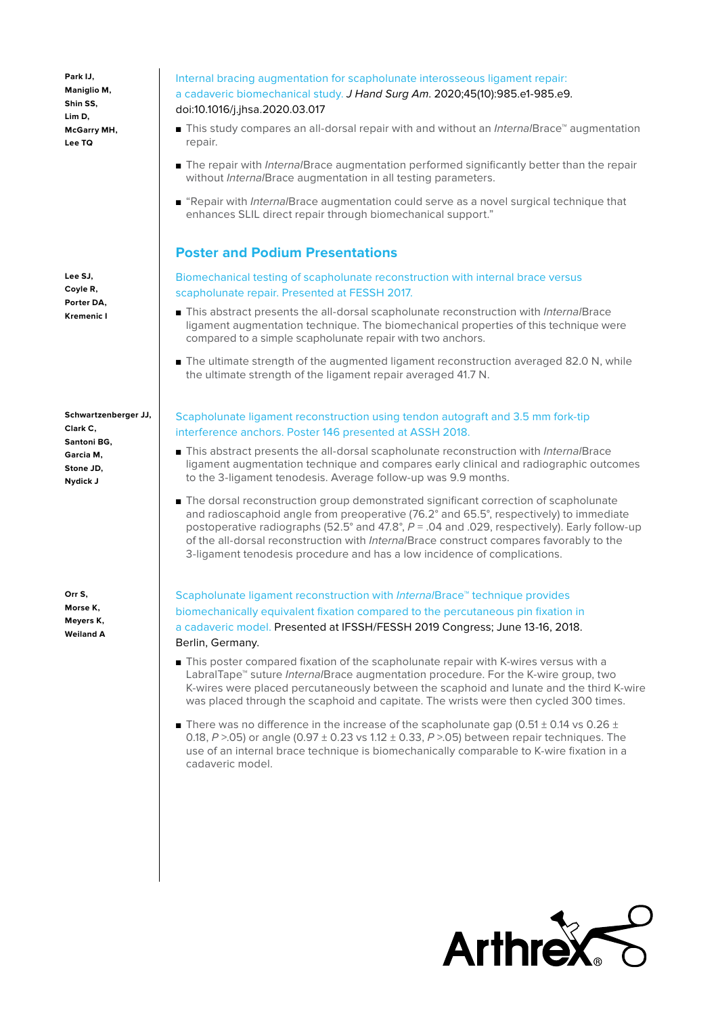**Park IJ, Maniglio M, Shin SS, Lim D, McGarry MH, Lee TQ**

**Lee SJ, Coyle R, Porter DA, Kremenic I**

**Schwartzenberger JJ, Clark C, Santoni BG, Garcia M, Stone JD, Nydick J**

**Orr S, Morse K, Meyers K, Weiland A**

#### Internal bracing augmentation for scapholunate interosseous ligament repair: a cadaveric biomechanical study. J Hand Surg Am. 2020;45(10):985.e1-985.e9. doi:10.1016/j.jhsa.2020.03.017

- This study compares an all-dorsal repair with and without an *Internal* Brace™ augmentation repair.
- The repair with InternalBrace augmentation performed significantly better than the repair without Interna/Brace augmentation in all testing parameters.
- "Repair with InternalBrace augmentation could serve as a novel surgical technique that enhances SLIL direct repair through biomechanical support."

# **Poster and Podium Presentations**

Biomechanical testing of scapholunate reconstruction with internal brace versus scapholunate repair. Presented at FESSH 2017.

- This abstract presents the all-dorsal scapholunate reconstruction with *Internal* Brace ligament augmentation technique. The biomechanical properties of this technique were compared to a simple scapholunate repair with two anchors.
- The ultimate strength of the augmented ligament reconstruction averaged 82.0 N, while the ultimate strength of the ligament repair averaged 41.7 N.

### Scapholunate ligament reconstruction using tendon autograft and 3.5 mm fork-tip interference anchors. Poster 146 presented at ASSH 2018.

- This abstract presents the all-dorsal scapholunate reconstruction with *Internal*Brace ligament augmentation technique and compares early clinical and radiographic outcomes to the 3-ligament tenodesis. Average follow-up was 9.9 months.
- The dorsal reconstruction group demonstrated significant correction of scapholunate and radioscaphoid angle from preoperative (76.2° and 65.5°, respectively) to immediate postoperative radiographs (52.5° and 47.8°,  $P = .04$  and .029, respectively). Early follow-up of the all-dorsal reconstruction with InternalBrace construct compares favorably to the 3-ligament tenodesis procedure and has a low incidence of complications.

Scapholunate ligament reconstruction with *Internal*Brace™ technique provides biomechanically equivalent fixation compared to the percutaneous pin fixation in a cadaveric model. Presented at IFSSH/FESSH 2019 Congress; June 13-16, 2018. Berlin, Germany.

- This poster compared fixation of the scapholunate repair with K-wires versus with a LabralTape<sup>™</sup> suture *Internal*Brace augmentation procedure. For the K-wire group, two K-wires were placed percutaneously between the scaphoid and lunate and the third K-wire was placed through the scaphoid and capitate. The wrists were then cycled 300 times.
- **There was no difference in the increase of the scapholunate gap (0.51**  $\pm$  **0.14 vs 0.26**  $\pm$ 0.18, P  $>$  05) or angle (0.97  $\pm$  0.23 vs 1.12  $\pm$  0.33, P  $>$  05) between repair techniques. The use of an internal brace technique is biomechanically comparable to K-wire fixation in a cadaveric model.

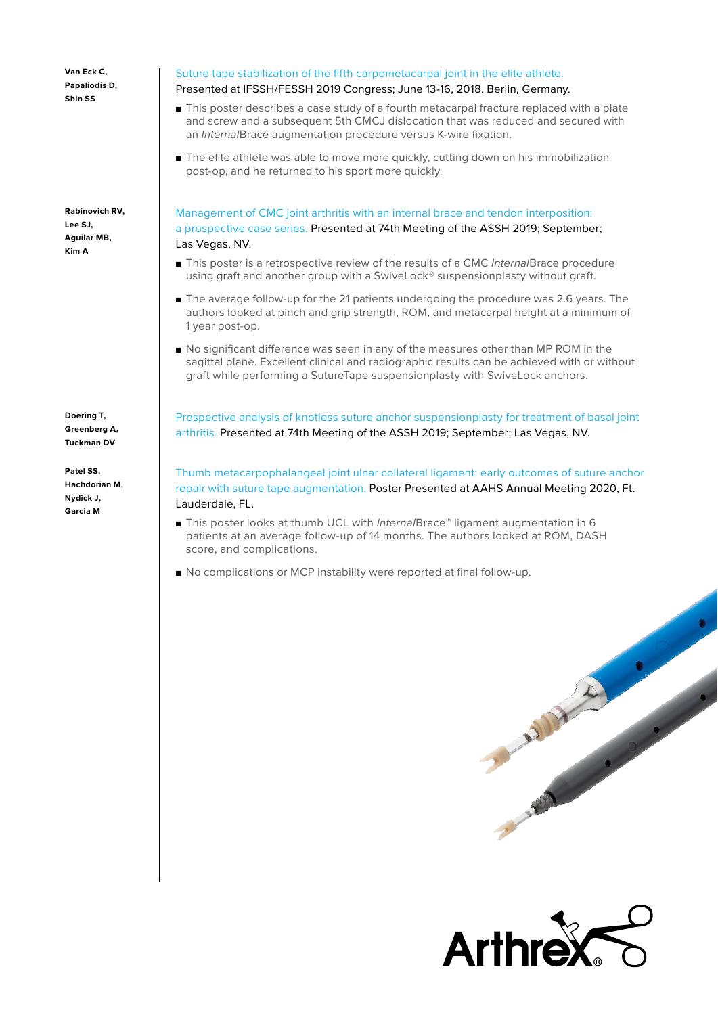**Van Eck C, Papaliodis D, Shin SS**

**Rabinovich RV, Lee SJ, Aguilar MB, Kim A**

**Doering T, Greenberg A, Tuckman DV**

**Patel SS, Hachdorian M, Nydick J, Garcia M** 

#### Suture tape stabilization of the fifth carpometacarpal joint in the elite athlete. Presented at IFSSH/FESSH 2019 Congress; June 13-16, 2018. Berlin, Germany.

- This poster describes a case study of a fourth metacarpal fracture replaced with a plate and screw and a subsequent 5th CMCJ dislocation that was reduced and secured with an InternalBrace augmentation procedure versus K-wire fixation.
- The elite athlete was able to move more quickly, cutting down on his immobilization post-op, and he returned to his sport more quickly.

Management of CMC joint arthritis with an internal brace and tendon interposition: a prospective case series. Presented at 74th Meeting of the ASSH 2019; September; Las Vegas, NV.

- This poster is a retrospective review of the results of a CMC InternalBrace procedure using graft and another group with a SwiveLock® suspensionplasty without graft.
- The average follow-up for the 21 patients undergoing the procedure was 2.6 years. The authors looked at pinch and grip strength, ROM, and metacarpal height at a minimum of 1 year post-op.
- No significant difference was seen in any of the measures other than MP ROM in the sagittal plane. Excellent clinical and radiographic results can be achieved with or without graft while performing a SutureTape suspensionplasty with SwiveLock anchors.

Prospective analysis of knotless suture anchor suspensionplasty for treatment of basal joint arthritis. Presented at 74th Meeting of the ASSH 2019; September; Las Vegas, NV.

Thumb metacarpophalangeal joint ulnar collateral ligament: early outcomes of suture anchor repair with suture tape augmentation. Poster Presented at AAHS Annual Meeting 2020, Ft. Lauderdale, FL.

- This poster looks at thumb UCL with *Internal*Brace™ ligament augmentation in 6 patients at an average follow-up of 14 months. The authors looked at ROM, DASH score, and complications.
- No complications or MCP instability were reported at final follow-up.